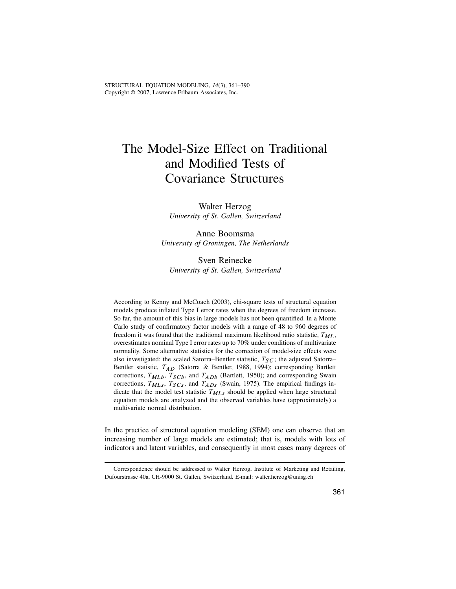STRUCTURAL EQUATION MODELING, 14(3), 361–390 Copyright © 2007, Lawrence Erlbaum Associates, Inc.

# The Model-Size Effect on Traditional and Modified Tests of Covariance Structures

Walter Herzog University of St. Gallen, Switzerland

Anne Boomsma University of Groningen, The Netherlands

Sven Reinecke University of St. Gallen, Switzerland

According to Kenny and McCoach (2003), chi-square tests of structural equation models produce inflated Type I error rates when the degrees of freedom increase. So far, the amount of this bias in large models has not been quantified. In a Monte Carlo study of confirmatory factor models with a range of 48 to 960 degrees of freedom it was found that the traditional maximum likelihood ratio statistic,  $T_{ML}$ , overestimates nominal Type I error rates up to 70% under conditions of multivariate normality. Some alternative statistics for the correction of model-size effects were also investigated: the scaled Satorra–Bentler statistic,  $T_{SC}$ ; the adjusted Satorra– Bentler statistic, TAD (Satorra & Bentler, 1988, 1994); corresponding Bartlett corrections,  $T_{MLb}$ ,  $T_{SCb}$ , and  $T_{ADb}$  (Bartlett, 1950); and corresponding Swain corrections,  $T_{MLs}$ ,  $T_{SCs}$ , and  $T_{ADs}$  (Swain, 1975). The empirical findings indicate that the model test statistic  $T_{MLs}$  should be applied when large structural equation models are analyzed and the observed variables have (approximately) a multivariate normal distribution.

In the practice of structural equation modeling (SEM) one can observe that an increasing number of large models are estimated; that is, models with lots of indicators and latent variables, and consequently in most cases many degrees of

Correspondence should be addressed to Walter Herzog, Institute of Marketing and Retailing, Dufourstrasse 40a, CH-9000 St. Gallen, Switzerland. E-mail: walter.herzog@unisg.ch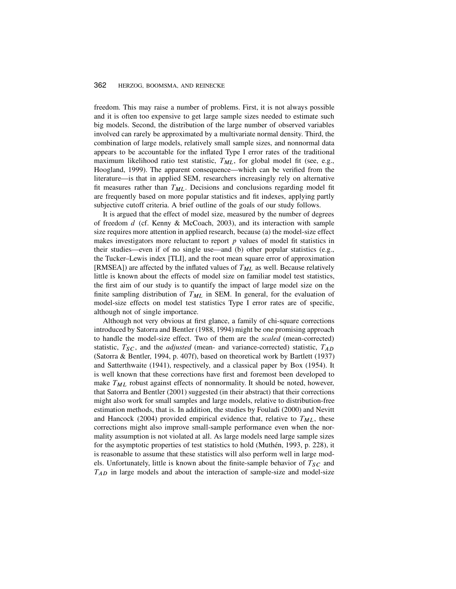# 362 HERZOG, BOOMSMA, AND REINECKE

freedom. This may raise a number of problems. First, it is not always possible and it is often too expensive to get large sample sizes needed to estimate such big models. Second, the distribution of the large number of observed variables involved can rarely be approximated by a multivariate normal density. Third, the combination of large models, relatively small sample sizes, and nonnormal data appears to be accountable for the inflated Type I error rates of the traditional maximum likelihood ratio test statistic,  $T_{ML}$ , for global model fit (see, e.g., Hoogland, 1999). The apparent consequence—which can be verified from the literature—is that in applied SEM, researchers increasingly rely on alternative fit measures rather than  $T_{ML}$ . Decisions and conclusions regarding model fit are frequently based on more popular statistics and fit indexes, applying partly subjective cutoff criteria. A brief outline of the goals of our study follows.

It is argued that the effect of model size, measured by the number of degrees of freedom  $d$  (cf. Kenny & McCoach, 2003), and its interaction with sample size requires more attention in applied research, because (a) the model-size effect makes investigators more reluctant to report  $p$  values of model fit statistics in their studies—even if of no single use—and (b) other popular statistics (e.g., the Tucker–Lewis index [TLI], and the root mean square error of approximation [RMSEA]) are affected by the inflated values of  $T_{ML}$  as well. Because relatively little is known about the effects of model size on familiar model test statistics, the first aim of our study is to quantify the impact of large model size on the finite sampling distribution of  $T_{ML}$  in SEM. In general, for the evaluation of model-size effects on model test statistics Type I error rates are of specific, although not of single importance.

Although not very obvious at first glance, a family of chi-square corrections introduced by Satorra and Bentler (1988, 1994) might be one promising approach to handle the model-size effect. Two of them are the scaled (mean-corrected) statistic,  $T_{SC}$ , and the *adjusted* (mean- and variance-corrected) statistic,  $T_{AD}$ (Satorra & Bentler, 1994, p. 407f), based on theoretical work by Bartlett (1937) and Satterthwaite (1941), respectively, and a classical paper by Box (1954). It is well known that these corrections have first and foremost been developed to make  $T_{ML}$  robust against effects of nonnormality. It should be noted, however, that Satorra and Bentler (2001) suggested (in their abstract) that their corrections might also work for small samples and large models, relative to distribution-free estimation methods, that is. In addition, the studies by Fouladi (2000) and Nevitt and Hancock (2004) provided empirical evidence that, relative to  $T_{ML}$ , these corrections might also improve small-sample performance even when the normality assumption is not violated at all. As large models need large sample sizes for the asymptotic properties of test statistics to hold (Muthén, 1993, p. 228), it is reasonable to assume that these statistics will also perform well in large models. Unfortunately, little is known about the finite-sample behavior of  $T_{SC}$  and  $T_{AD}$  in large models and about the interaction of sample-size and model-size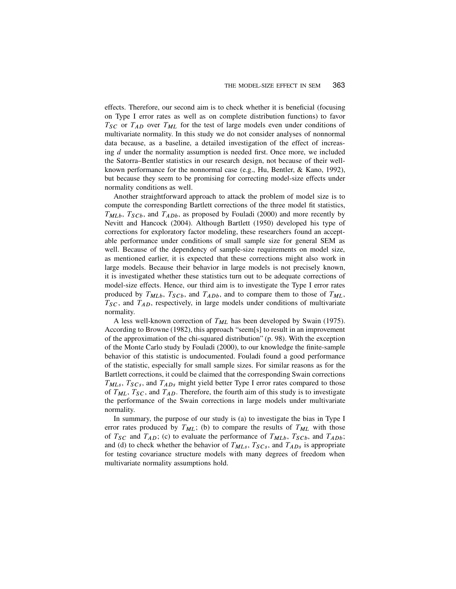effects. Therefore, our second aim is to check whether it is beneficial (focusing on Type I error rates as well as on complete distribution functions) to favor  $T_{SC}$  or  $T_{AD}$  over  $T_{ML}$  for the test of large models even under conditions of multivariate normality. In this study we do not consider analyses of nonnormal data because, as a baseline, a detailed investigation of the effect of increasing d under the normality assumption is needed first. Once more, we included the Satorra–Bentler statistics in our research design, not because of their wellknown performance for the nonnormal case (e.g., Hu, Bentler, & Kano, 1992), but because they seem to be promising for correcting model-size effects under normality conditions as well.

Another straightforward approach to attack the problem of model size is to compute the corresponding Bartlett corrections of the three model fit statistics,  $T_{MLb}$ ,  $T_{SCb}$ , and  $T_{ADb}$ , as proposed by Fouladi (2000) and more recently by Nevitt and Hancock (2004). Although Bartlett (1950) developed his type of corrections for exploratory factor modeling, these researchers found an acceptable performance under conditions of small sample size for general SEM as well. Because of the dependency of sample-size requirements on model size, as mentioned earlier, it is expected that these corrections might also work in large models. Because their behavior in large models is not precisely known, it is investigated whether these statistics turn out to be adequate corrections of model-size effects. Hence, our third aim is to investigate the Type I error rates produced by  $T_{MLb}$ ,  $T_{SCb}$ , and  $T_{ADb}$ , and to compare them to those of  $T_{ML}$ ,  $T_{SC}$ , and  $T_{AD}$ , respectively, in large models under conditions of multivariate normality.

A less well-known correction of  $T_{ML}$  has been developed by Swain (1975). According to Browne (1982), this approach "seem[s] to result in an improvement of the approximation of the chi-squared distribution" (p. 98). With the exception of the Monte Carlo study by Fouladi (2000), to our knowledge the finite-sample behavior of this statistic is undocumented. Fouladi found a good performance of the statistic, especially for small sample sizes. For similar reasons as for the Bartlett corrections, it could be claimed that the corresponding Swain corrections  $T_{MLs}$ ,  $T_{SCs}$ , and  $T_{ADs}$  might yield better Type I error rates compared to those of  $T_{ML}$ ,  $T_{SC}$ , and  $T_{AD}$ . Therefore, the fourth aim of this study is to investigate the performance of the Swain corrections in large models under multivariate normality.

In summary, the purpose of our study is (a) to investigate the bias in Type I error rates produced by  $T_{ML}$ ; (b) to compare the results of  $T_{ML}$  with those of  $T_{SC}$  and  $T_{AD}$ ; (c) to evaluate the performance of  $T_{MLb}$ ,  $T_{SCb}$ , and  $T_{ADb}$ ; and (d) to check whether the behavior of  $T_{MLs}$ ,  $T_{SCs}$ , and  $T_{ADs}$  is appropriate for testing covariance structure models with many degrees of freedom when multivariate normality assumptions hold.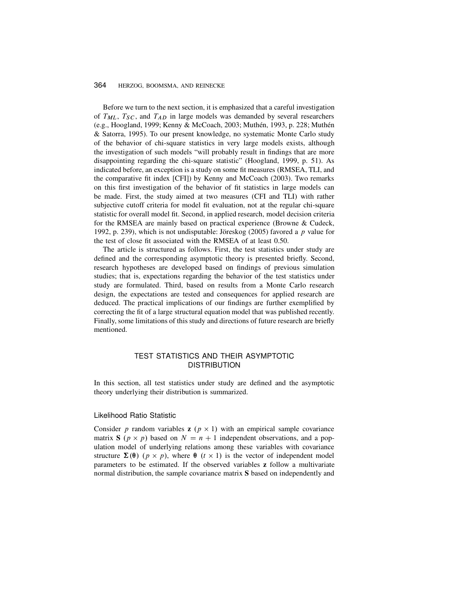# 364 HERZOG, BOOMSMA, AND REINECKE

Before we turn to the next section, it is emphasized that a careful investigation of  $T_{ML}$ ,  $T_{SC}$ , and  $T_{AD}$  in large models was demanded by several researchers (e.g., Hoogland, 1999; Kenny & McCoach, 2003; Muthén, 1993, p. 228; Muthén & Satorra, 1995). To our present knowledge, no systematic Monte Carlo study of the behavior of chi-square statistics in very large models exists, although the investigation of such models "will probably result in findings that are more disappointing regarding the chi-square statistic" (Hoogland, 1999, p. 51). As indicated before, an exception is a study on some fit measures (RMSEA, TLI, and the comparative fit index [CFI]) by Kenny and McCoach (2003). Two remarks on this first investigation of the behavior of fit statistics in large models can be made. First, the study aimed at two measures (CFI and TLI) with rather subjective cutoff criteria for model fit evaluation, not at the regular chi-square statistic for overall model fit. Second, in applied research, model decision criteria for the RMSEA are mainly based on practical experience (Browne & Cudeck, 1992, p. 239), which is not undisputable: Jöreskog (2005) favored a p value for the test of close fit associated with the RMSEA of at least 0.50.

The article is structured as follows. First, the test statistics under study are defined and the corresponding asymptotic theory is presented briefly. Second, research hypotheses are developed based on findings of previous simulation studies; that is, expectations regarding the behavior of the test statistics under study are formulated. Third, based on results from a Monte Carlo research design, the expectations are tested and consequences for applied research are deduced. The practical implications of our findings are further exemplified by correcting the fit of a large structural equation model that was published recently. Finally, some limitations of this study and directions of future research are briefly mentioned.

# TEST STATISTICS AND THEIR ASYMPTOTIC DISTRIBUTION

In this section, all test statistics under study are defined and the asymptotic theory underlying their distribution is summarized.

#### Likelihood Ratio Statistic

Consider p random variables **z**  $(p \times 1)$  with an empirical sample covariance matrix **S** ( $p \times p$ ) based on  $N = n + 1$  independent observations, and a population model of underlying relations among these variables with covariance structure  $\Sigma(\theta)$   $(p \times p)$ , where  $\theta$   $(t \times 1)$  is the vector of independent model parameters to be estimated. If the observed variables z follow a multivariate normal distribution, the sample covariance matrix S based on independently and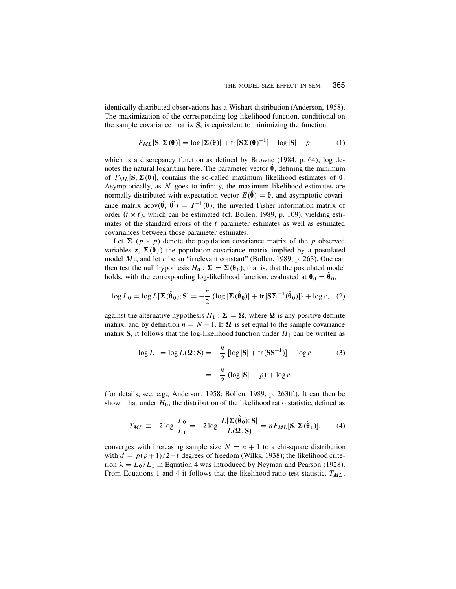identically distributed observations has a Wishart distribution (Anderson, 1958). The maximization of the corresponding log-likelihood function, conditional on the sample covariance matrix S, is equivalent to minimizing the function

$$
F_{ML}[\mathbf{S}, \Sigma(\mathbf{\theta})] = \log |\Sigma(\mathbf{\theta})| + \text{tr}[\mathbf{S}\Sigma(\mathbf{\theta})^{-1}] - \log |\mathbf{S}| - p, \quad (1)
$$

which is a discrepancy function as defined by Browne (1984, p. 64); log denotes the natural logarithm here. The parameter vector  $\theta$ , defining the minimum of  $F_{ML}[S, \Sigma(\theta)]$ , contains the so-called maximum likelihood estimates of  $\theta$ . Asymptotically, as  $N$  goes to infinity, the maximum likelihood estimates are normally distributed with expectation vector  $E(\hat{\theta}) = \theta$ , and asymptotic covariance matrix  $acov(\hat{\theta}, \hat{\theta}') = I^{-1}(\theta)$ , the inverted Fisher information matrix of order  $(t \times t)$ , which can be estimated (cf. Bollen, 1989, p. 109), yielding estimates of the standard errors of the t parameter estimates as well as estimated covariances between those parameter estimates.

Let  $\Sigma$  ( $p \times p$ ) denote the population covariance matrix of the p observed variables **z**,  $\Sigma(\theta_i)$  the population covariance matrix implied by a postulated model  $M_j$ , and let c be an "irrelevant constant" (Bollen, 1989, p. 263). One can then test the null hypothesis  $H_0 : \Sigma = \Sigma(\theta_0)$ ; that is, that the postulated model holds, with the corresponding log-likelihood function, evaluated at  $\theta_0 = \theta_0$ ,

$$
\log L_0 = \log L[\Sigma(\hat{\boldsymbol{\theta}}_0); \mathbf{S}] = -\frac{n}{2} \left\{ \log |\Sigma(\hat{\boldsymbol{\theta}}_0)| + \text{tr}[\mathbf{S}\Sigma^{-1}(\hat{\boldsymbol{\theta}}_0)] \right\} + \log c, \quad (2)
$$

against the alternative hypothesis  $H_1 : \Sigma = \Omega$ , where  $\Omega$  is any positive definite matrix, and by definition  $n = N - 1$ . If  $\Omega$  is set equal to the sample covariance matrix S, it follows that the log-likelihood function under  $H_1$  can be written as

$$
\log L_1 = \log L(\mathbf{\Omega}; \mathbf{S}) = -\frac{n}{2} \left[ \log |\mathbf{S}| + \text{tr}(\mathbf{S} \mathbf{S}^{-1}) \right] + \log c \tag{3}
$$

$$
= -\frac{n}{2} \left( \log |\mathbf{S}| + p \right) + \log c
$$

(for details, see, e.g., Anderson, 1958; Bollen, 1989, p. 263ff.). It can then be shown that under  $H_0$ , the distribution of the likelihood ratio statistic, defined as

$$
T_{ML} \equiv -2 \log \frac{L_0}{L_1} = -2 \log \frac{L[\Sigma(\hat{\theta}_0); S]}{L(\Omega; S)} = n F_{ML}[S, \Sigma(\hat{\theta}_0)], \qquad (4)
$$

converges with increasing sample size  $N = n + 1$  to a chi-square distribution with  $d = p(p+1)/2-t$  degrees of freedom (Wilks, 1938); the likelihood criterion  $\lambda = L_0/L_1$  in Equation 4 was introduced by Neyman and Pearson (1928). From Equations 1 and 4 it follows that the likelihood ratio test statistic,  $T_{ML}$ ,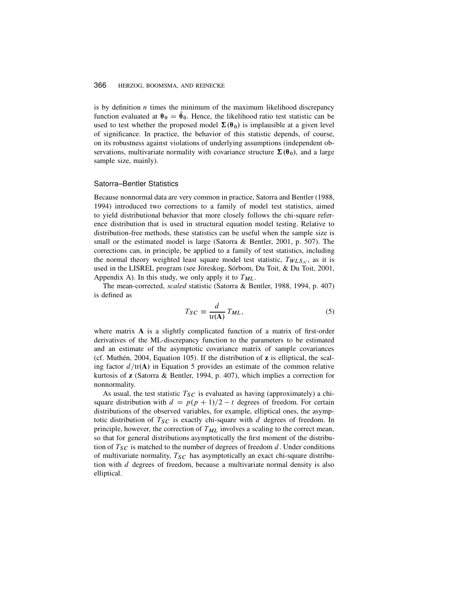is by definition  $n$  times the minimum of the maximum likelihood discrepancy function evaluated at  $\theta_0 = \theta_0$ . Hence, the likelihood ratio test statistic can be used to test whether the proposed model  $\Sigma(\theta_0)$  is implausible at a given level of significance. In practice, the behavior of this statistic depends, of course, on its robustness against violations of underlying assumptions (independent observations, multivariate normality with covariance structure  $\Sigma(\theta_0)$ , and a large sample size, mainly).

#### Satorra–Bentler Statistics

Because nonnormal data are very common in practice, Satorra and Bentler (1988, 1994) introduced two corrections to a family of model test statistics, aimed to yield distributional behavior that more closely follows the chi-square reference distribution that is used in structural equation model testing. Relative to distribution-free methods, these statistics can be useful when the sample size is small or the estimated model is large (Satorra & Bentler, 2001, p. 507). The corrections can, in principle, be applied to a family of test statistics, including the normal theory weighted least square model test statistic,  $T_{WLS_M}$ , as it is used in the LISREL program (see Jöreskog, Sörbom, Du Toit, & Du Toit, 2001, Appendix A). In this study, we only apply it to  $T_{ML}$ .

The mean-corrected, scaled statistic (Satorra & Bentler, 1988, 1994, p. 407) is defined as

$$
T_{SC} \equiv \frac{d}{\text{tr}(\mathbf{A})} T_{ML},\tag{5}
$$

where matrix  $A$  is a slightly complicated function of a matrix of first-order derivatives of the ML-discrepancy function to the parameters to be estimated and an estimate of the asymptotic covariance matrix of sample covariances (cf. Muthén, 2004, Equation 105). If the distribution of  $\bf{z}$  is elliptical, the scaling factor  $d/\text{tr}(A)$  in Equation 5 provides an estimate of the common relative kurtosis of z (Satorra & Bentler, 1994, p. 407), which implies a correction for nonnormality.

As usual, the test statistic  $T_{SC}$  is evaluated as having (approximately) a chisquare distribution with  $d = p(p + 1)/2 - t$  degrees of freedom. For certain distributions of the observed variables, for example, elliptical ones, the asymptotic distribution of  $T_{SC}$  is exactly chi-square with d degrees of freedom. In principle, however, the correction of  $T_{ML}$  involves a scaling to the correct mean, so that for general distributions asymptotically the first moment of the distribution of  $T_{SC}$  is matched to the number of degrees of freedom d. Under conditions of multivariate normality,  $T_{SC}$  has asymptotically an exact chi-square distribution with  $d$  degrees of freedom, because a multivariate normal density is also elliptical.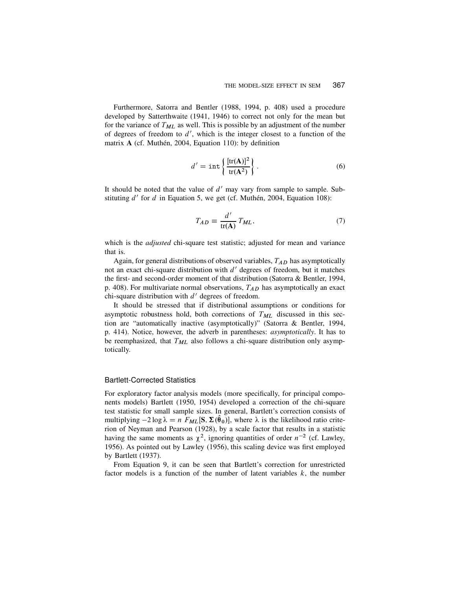Furthermore, Satorra and Bentler (1988, 1994, p. 408) used a procedure developed by Satterthwaite (1941, 1946) to correct not only for the mean but for the variance of  $T_{ML}$  as well. This is possible by an adjustment of the number of degrees of freedom to  $d'$ , which is the integer closest to a function of the matrix A (cf. Muthén, 2004, Equation 110): by definition

$$
d' = \operatorname{int}\left\{\frac{[\operatorname{tr}(A)]^2}{\operatorname{tr}(A^2)}\right\}.
$$
 (6)

It should be noted that the value of  $d'$  may vary from sample to sample. Substituting  $d'$  for  $d$  in Equation 5, we get (cf. Muthén, 2004, Equation 108):

$$
T_{AD} \equiv \frac{d'}{\text{tr(A)}} T_{ML},\tag{7}
$$

which is the *adjusted* chi-square test statistic; adjusted for mean and variance that is.

Again, for general distributions of observed variables,  $T_{AD}$  has asymptotically not an exact chi-square distribution with  $d'$  degrees of freedom, but it matches the first- and second-order moment of that distribution (Satorra & Bentler, 1994, p. 408). For multivariate normal observations,  $T_{AD}$  has asymptotically an exact chi-square distribution with  $d'$  degrees of freedom.

It should be stressed that if distributional assumptions or conditions for asymptotic robustness hold, both corrections of  $T_{ML}$  discussed in this section are "automatically inactive (asymptotically)" (Satorra & Bentler, 1994, p. 414). Notice, however, the adverb in parentheses: *asymptotically*. It has to be reemphasized, that  $T_{ML}$  also follows a chi-square distribution only asymptotically.

# Bartlett-Corrected Statistics

For exploratory factor analysis models (more specifically, for principal components models) Bartlett (1950, 1954) developed a correction of the chi-square test statistic for small sample sizes. In general, Bartlett's correction consists of multiplying  $-2 \log \lambda = n F_{ML}[S, \Sigma(\hat{\theta}_0)],$  where  $\lambda$  is the likelihood ratio criterion of Neyman and Pearson (1928), by a scale factor that results in a statistic having the same moments as  $\chi^2$ , ignoring quantities of order  $n^{-2}$  (cf. Lawley, 1956). As pointed out by Lawley (1956), this scaling device was first employed by Bartlett (1937).

From Equation 9, it can be seen that Bartlett's correction for unrestricted factor models is a function of the number of latent variables  $k$ , the number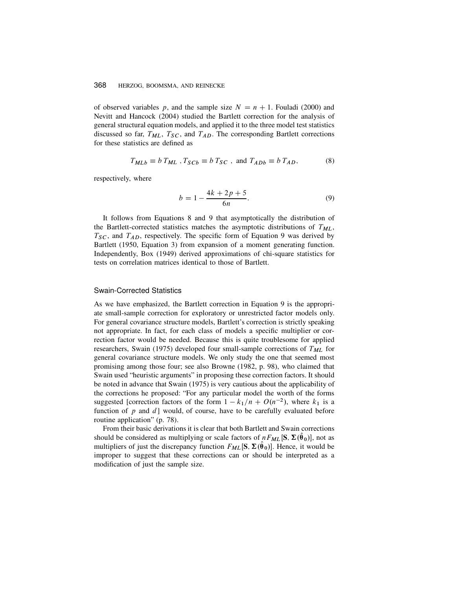of observed variables p, and the sample size  $N = n + 1$ . Fouladi (2000) and Nevitt and Hancock (2004) studied the Bartlett correction for the analysis of general structural equation models, and applied it to the three model test statistics discussed so far,  $T_{ML}$ ,  $T_{SC}$ , and  $T_{AD}$ . The corresponding Bartlett corrections for these statistics are defined as

$$
T_{MLb} \equiv b \; T_{ML} \; , T_{SCb} \equiv b \; T_{SC} \; , \; \text{and} \; T_{ADb} \equiv b \; T_{AD}, \tag{8}
$$

respectively, where

$$
b = 1 - \frac{4k + 2p + 5}{6n}.
$$
 (9)

It follows from Equations 8 and 9 that asymptotically the distribution of the Bartlett-corrected statistics matches the asymptotic distributions of  $T_{ML}$ ,  $T_{SC}$ , and  $T_{AD}$ , respectively. The specific form of Equation 9 was derived by Bartlett (1950, Equation 3) from expansion of a moment generating function. Independently, Box (1949) derived approximations of chi-square statistics for tests on correlation matrices identical to those of Bartlett.

# Swain-Corrected Statistics

As we have emphasized, the Bartlett correction in Equation 9 is the appropriate small-sample correction for exploratory or unrestricted factor models only. For general covariance structure models, Bartlett's correction is strictly speaking not appropriate. In fact, for each class of models a specific multiplier or correction factor would be needed. Because this is quite troublesome for applied researchers, Swain (1975) developed four small-sample corrections of  $T_{ML}$  for general covariance structure models. We only study the one that seemed most promising among those four; see also Browne (1982, p. 98), who claimed that Swain used "heuristic arguments" in proposing these correction factors. It should be noted in advance that Swain (1975) is very cautious about the applicability of the corrections he proposed: "For any particular model the worth of the forms suggested [correction factors of the form  $1 - k_1/n + O(n^{-2})$ , where  $k_1$  is a function of  $p$  and  $d$ ] would, of course, have to be carefully evaluated before routine application" (p. 78).

From their basic derivations it is clear that both Bartlett and Swain corrections should be considered as multiplying or scale factors of  $nF_{ML}[S, \Sigma(\hat{\theta}_0)]$ , not as multipliers of just the discrepancy function  $F_{ML}[\mathbf{S}, \Sigma(\hat{\theta}_0)]$ . Hence, it would be improper to suggest that these corrections can or should be interpreted as a modification of just the sample size.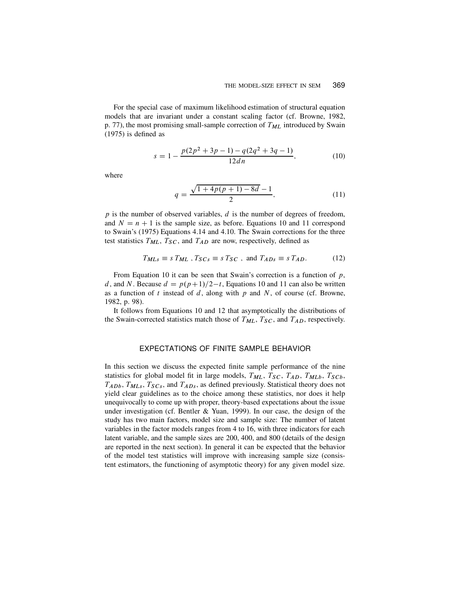For the special case of maximum likelihood estimation of structural equation models that are invariant under a constant scaling factor (cf. Browne, 1982, p. 77), the most promising small-sample correction of  $T_{ML}$  introduced by Swain (1975) is defined as

$$
s = 1 - \frac{p(2p^2 + 3p - 1) - q(2q^2 + 3q - 1)}{12dn},
$$
\n(10)

where

$$
q = \frac{\sqrt{1 + 4p(p+1) - 8d} - 1}{2},
$$
\n(11)

 $p$  is the number of observed variables,  $d$  is the number of degrees of freedom, and  $N = n + 1$  is the sample size, as before. Equations 10 and 11 correspond to Swain's (1975) Equations 4.14 and 4.10. The Swain corrections for the three test statistics  $T_{ML}$ ,  $T_{SC}$ , and  $T_{AD}$  are now, respectively, defined as

$$
T_{MLs} \equiv s \, T_{ML} \, , T_{SCs} \equiv s \, T_{SC} \, , \text{ and } T_{ADs} \equiv s \, T_{AD}. \tag{12}
$$

From Equation 10 it can be seen that Swain's correction is a function of  $p$ , d, and N. Because  $d = p(p+1)/2-t$ , Equations 10 and 11 can also be written as a function of t instead of  $d$ , along with  $p$  and  $N$ , of course (cf. Browne, 1982, p. 98).

It follows from Equations 10 and 12 that asymptotically the distributions of the Swain-corrected statistics match those of  $T_{ML}$ ,  $T_{SC}$ , and  $T_{AD}$ , respectively.

# EXPECTATIONS OF FINITE SAMPLE BEHAVIOR

In this section we discuss the expected finite sample performance of the nine statistics for global model fit in large models,  $T_{ML}$ ,  $T_{SC}$ ,  $T_{AD}$ ,  $T_{MLb}$ ,  $T_{SCb}$ ,  $T_{ADD}$ ,  $T_{MLs}$ ,  $T_{SCs}$ , and  $T_{ADS}$ , as defined previously. Statistical theory does not yield clear guidelines as to the choice among these statistics, nor does it help unequivocally to come up with proper, theory-based expectations about the issue under investigation (cf. Bentler & Yuan, 1999). In our case, the design of the study has two main factors, model size and sample size: The number of latent variables in the factor models ranges from 4 to 16, with three indicators for each latent variable, and the sample sizes are 200, 400, and 800 (details of the design are reported in the next section). In general it can be expected that the behavior of the model test statistics will improve with increasing sample size (consistent estimators, the functioning of asymptotic theory) for any given model size.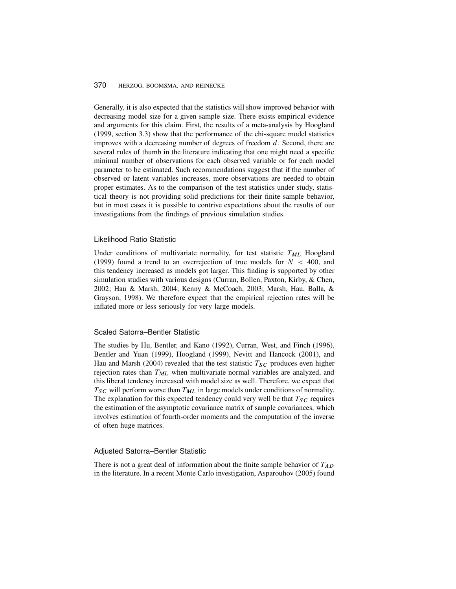# 370 HERZOG, BOOMSMA, AND REINECKE

Generally, it is also expected that the statistics will show improved behavior with decreasing model size for a given sample size. There exists empirical evidence and arguments for this claim. First, the results of a meta-analysis by Hoogland (1999, section 3.3) show that the performance of the chi-square model statistics improves with a decreasing number of degrees of freedom  $d$ . Second, there are several rules of thumb in the literature indicating that one might need a specific minimal number of observations for each observed variable or for each model parameter to be estimated. Such recommendations suggest that if the number of observed or latent variables increases, more observations are needed to obtain proper estimates. As to the comparison of the test statistics under study, statistical theory is not providing solid predictions for their finite sample behavior, but in most cases it is possible to contrive expectations about the results of our investigations from the findings of previous simulation studies.

#### Likelihood Ratio Statistic

Under conditions of multivariate normality, for test statistic  $T_{ML}$  Hoogland (1999) found a trend to an overrejection of true models for  $N < 400$ , and this tendency increased as models got larger. This finding is supported by other simulation studies with various designs (Curran, Bollen, Paxton, Kirby, & Chen, 2002; Hau & Marsh, 2004; Kenny & McCoach, 2003; Marsh, Hau, Balla, & Grayson, 1998). We therefore expect that the empirical rejection rates will be inflated more or less seriously for very large models.

# Scaled Satorra–Bentler Statistic

The studies by Hu, Bentler, and Kano (1992), Curran, West, and Finch (1996), Bentler and Yuan (1999), Hoogland (1999), Nevitt and Hancock (2001), and Hau and Marsh (2004) revealed that the test statistic  $T_{SC}$  produces even higher rejection rates than  $T_{ML}$  when multivariate normal variables are analyzed, and this liberal tendency increased with model size as well. Therefore, we expect that  $T_{SC}$  will perform worse than  $T_{ML}$  in large models under conditions of normality. The explanation for this expected tendency could very well be that  $T_{SC}$  requires the estimation of the asymptotic covariance matrix of sample covariances, which involves estimation of fourth-order moments and the computation of the inverse of often huge matrices.

## Adjusted Satorra–Bentler Statistic

There is not a great deal of information about the finite sample behavior of  $T_{AD}$ in the literature. In a recent Monte Carlo investigation, Asparouhov (2005) found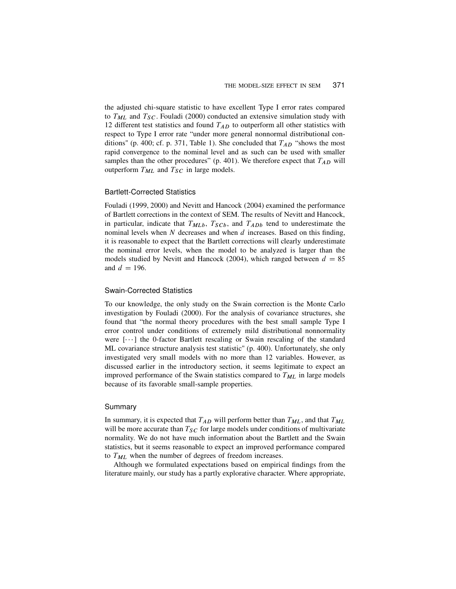the adjusted chi-square statistic to have excellent Type I error rates compared to  $T_{ML}$  and  $T_{SC}$ . Fouladi (2000) conducted an extensive simulation study with 12 different test statistics and found  $T_{AD}$  to outperform all other statistics with respect to Type I error rate "under more general nonnormal distributional conditions" (p. 400; cf. p. 371, Table 1). She concluded that  $T_{AD}$  "shows the most rapid convergence to the nominal level and as such can be used with smaller samples than the other procedures" (p. 401). We therefore expect that  $T_{AD}$  will outperform  $T_{ML}$  and  $T_{SC}$  in large models.

## Bartlett-Corrected Statistics

Fouladi (1999, 2000) and Nevitt and Hancock (2004) examined the performance of Bartlett corrections in the context of SEM. The results of Nevitt and Hancock, in particular, indicate that  $T_{MLb}$ ,  $T_{SCb}$ , and  $T_{ADb}$  tend to underestimate the nominal levels when  $N$  decreases and when  $d$  increases. Based on this finding, it is reasonable to expect that the Bartlett corrections will clearly underestimate the nominal error levels, when the model to be analyzed is larger than the models studied by Nevitt and Hancock (2004), which ranged between  $d = 85$ and  $d = 196$ .

#### Swain-Corrected Statistics

To our knowledge, the only study on the Swain correction is the Monte Carlo investigation by Fouladi (2000). For the analysis of covariance structures, she found that "the normal theory procedures with the best small sample Type I error control under conditions of extremely mild distributional nonnormality were  $[\cdots]$  the 0-factor Bartlett rescaling or Swain rescaling of the standard ML covariance structure analysis test statistic" (p. 400). Unfortunately, she only investigated very small models with no more than 12 variables. However, as discussed earlier in the introductory section, it seems legitimate to expect an improved performance of the Swain statistics compared to  $T_{ML}$  in large models because of its favorable small-sample properties.

#### Summary

In summary, it is expected that  $T_{AD}$  will perform better than  $T_{ML}$ , and that  $T_{ML}$ will be more accurate than  $T_{SC}$  for large models under conditions of multivariate normality. We do not have much information about the Bartlett and the Swain statistics, but it seems reasonable to expect an improved performance compared to  $T_{ML}$  when the number of degrees of freedom increases.

Although we formulated expectations based on empirical findings from the literature mainly, our study has a partly explorative character. Where appropriate,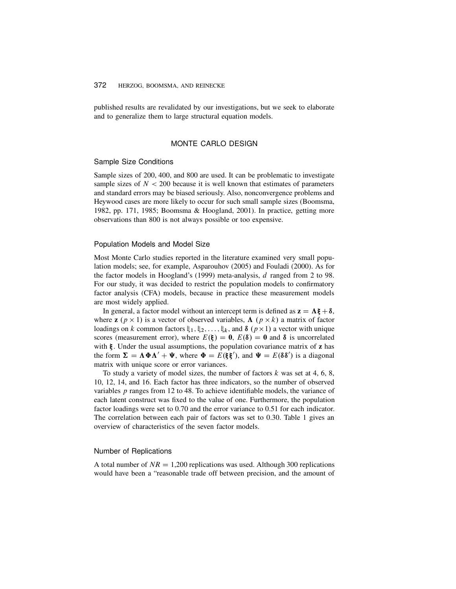published results are revalidated by our investigations, but we seek to elaborate and to generalize them to large structural equation models.

# MONTE CARLO DESIGN

#### Sample Size Conditions

Sample sizes of 200, 400, and 800 are used. It can be problematic to investigate sample sizes of  $N < 200$  because it is well known that estimates of parameters and standard errors may be biased seriously. Also, nonconvergence problems and Heywood cases are more likely to occur for such small sample sizes (Boomsma, 1982, pp. 171, 1985; Boomsma & Hoogland, 2001). In practice, getting more observations than 800 is not always possible or too expensive.

#### Population Models and Model Size

Most Monte Carlo studies reported in the literature examined very small population models; see, for example, Asparouhov (2005) and Fouladi (2000). As for the factor models in Hoogland's (1999) meta-analysis,  $d$  ranged from 2 to 98. For our study, it was decided to restrict the population models to confirmatory factor analysis (CFA) models, because in practice these measurement models are most widely applied.

In general, a factor model without an intercept term is defined as  $z = \Lambda \xi + \delta$ , where **z**  $(p \times 1)$  is a vector of observed variables,  $\Lambda$   $(p \times k)$  a matrix of factor loadings on k common factors  $\xi_1, \xi_2, \ldots, \xi_k$ , and  $\delta$   $(p \times 1)$  a vector with unique scores (measurement error), where  $E(\xi) = 0$ ,  $E(\delta) = 0$  and  $\delta$  is uncorrelated with  $\xi$ . Under the usual assumptions, the population covariance matrix of  $z$  has the form  $\Sigma = \Lambda \Phi \Lambda' + \Psi$ , where  $\Phi = E(\xi \xi')$ , and  $\Psi = E(\delta \delta')$  is a diagonal matrix with unique score or error variances.

To study a variety of model sizes, the number of factors  $k$  was set at 4, 6, 8, 10, 12, 14, and 16. Each factor has three indicators, so the number of observed variables p ranges from 12 to 48. To achieve identifiable models, the variance of each latent construct was fixed to the value of one. Furthermore, the population factor loadings were set to 0.70 and the error variance to 0.51 for each indicator. The correlation between each pair of factors was set to 0.30. Table 1 gives an overview of characteristics of the seven factor models.

#### Number of Replications

A total number of  $NR = 1,200$  replications was used. Although 300 replications would have been a "reasonable trade off between precision, and the amount of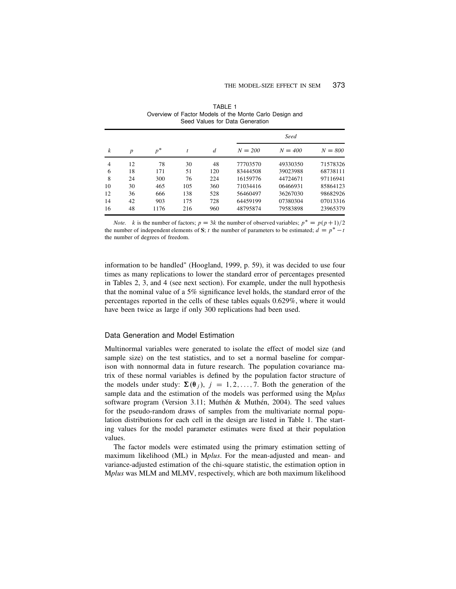# THE MODEL-SIZE EFFECT IN SEM 373

|                |                  |       |     |     | Seed      |           |           |  |  |
|----------------|------------------|-------|-----|-----|-----------|-----------|-----------|--|--|
| k              | $\boldsymbol{p}$ | $p^*$ | t   | d   | $N = 200$ | $N = 400$ | $N = 800$ |  |  |
| $\overline{4}$ | 12               | 78    | 30  | 48  | 77703570  | 49330350  | 71578326  |  |  |
| 6              | 18               | 171   | 51  | 120 | 83444508  | 39023988  | 68738111  |  |  |
| 8              | 24               | 300   | 76  | 224 | 16159776  | 44724671  | 97116941  |  |  |
| 10             | 30               | 465   | 105 | 360 | 71034416  | 06466931  | 85864123  |  |  |
| 12             | 36               | 666   | 138 | 528 | 56460497  | 36267030  | 98682926  |  |  |
| 14             | 42               | 903   | 175 | 728 | 64459199  | 07380304  | 07013316  |  |  |
| 16             | 48               | 1176  | 216 | 960 | 48795874  | 79583898  | 23965379  |  |  |

TABLE 1 Overview of Factor Models of the Monte Carlo Design and Seed Values for Data Generation

*Note. k* is the number of factors;  $p = 3k$  the number of observed variables;  $p^* = p(p+1)/2$ the number of independent elements of S; t the number of parameters to be estimated;  $\hat{d} = p^* - t$ the number of degrees of freedom.

information to be handled" (Hoogland, 1999, p. 59), it was decided to use four times as many replications to lower the standard error of percentages presented in Tables 2, 3, and 4 (see next section). For example, under the null hypothesis that the nominal value of a 5% significance level holds, the standard error of the percentages reported in the cells of these tables equals 0.629%, where it would have been twice as large if only 300 replications had been used.

#### Data Generation and Model Estimation

Multinormal variables were generated to isolate the effect of model size (and sample size) on the test statistics, and to set a normal baseline for comparison with nonnormal data in future research. The population covariance matrix of these normal variables is defined by the population factor structure of the models under study:  $\Sigma(\theta_i)$ ,  $j = 1, 2, ..., 7$ . Both the generation of the sample data and the estimation of the models was performed using the Mplus software program (Version 3.11; Muthén & Muthén, 2004). The seed values for the pseudo-random draws of samples from the multivariate normal population distributions for each cell in the design are listed in Table 1. The starting values for the model parameter estimates were fixed at their population values.

The factor models were estimated using the primary estimation setting of maximum likelihood (ML) in Mplus. For the mean-adjusted and mean- and variance-adjusted estimation of the chi-square statistic, the estimation option in Mplus was MLM and MLMV, respectively, which are both maximum likelihood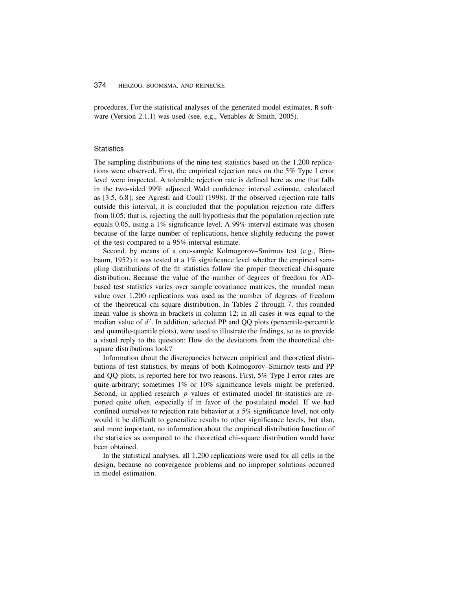# 374 HERZOG, BOOMSMA, AND REINECKE

procedures. For the statistical analyses of the generated model estimates, R software (Version 2.1.1) was used (see, e.g., Venables & Smith, 2005).

#### **Statistics**

The sampling distributions of the nine test statistics based on the 1,200 replications were observed. First, the empirical rejection rates on the 5% Type I error level were inspected. A tolerable rejection rate is defined here as one that falls in the two-sided 99% adjusted Wald confidence interval estimate, calculated as [3.5, 6.8]; see Agresti and Coull (1998). If the observed rejection rate falls outside this interval, it is concluded that the population rejection rate differs from 0.05; that is, rejecting the null hypothesis that the population rejection rate equals 0.05, using a 1% significance level. A 99% interval estimate was chosen because of the large number of replications, hence slightly reducing the power of the test compared to a 95% interval estimate.

Second, by means of a one-sample Kolmogorov–Smirnov test (e.g., Birnbaum, 1952) it was tested at a 1% significance level whether the empirical sampling distributions of the fit statistics follow the proper theoretical chi-square distribution. Because the value of the number of degrees of freedom for ADbased test statistics varies over sample covariance matrices, the rounded mean value over 1,200 replications was used as the number of degrees of freedom of the theoretical chi-square distribution. In Tables 2 through 7, this rounded mean value is shown in brackets in column 12; in all cases it was equal to the median value of d'. In addition, selected PP and QQ plots (percentile-percentile and quantile-quantile plots), were used to illustrate the findings, so as to provide a visual reply to the question: How do the deviations from the theoretical chisquare distributions look?

Information about the discrepancies between empirical and theoretical distributions of test statistics, by means of both Kolmogorov–Smirnov tests and PP and QQ plots, is reported here for two reasons. First, 5% Type I error rates are quite arbitrary; sometimes  $1\%$  or  $10\%$  significance levels might be preferred. Second, in applied research  $p$  values of estimated model fit statistics are reported quite often, especially if in favor of the postulated model. If we had confined ourselves to rejection rate behavior at a 5% significance level, not only would it be difficult to generalize results to other significance levels, but also, and more important, no information about the empirical distribution function of the statistics as compared to the theoretical chi-square distribution would have been obtained.

In the statistical analyses, all 1,200 replications were used for all cells in the design, because no convergence problems and no improper solutions occurred in model estimation.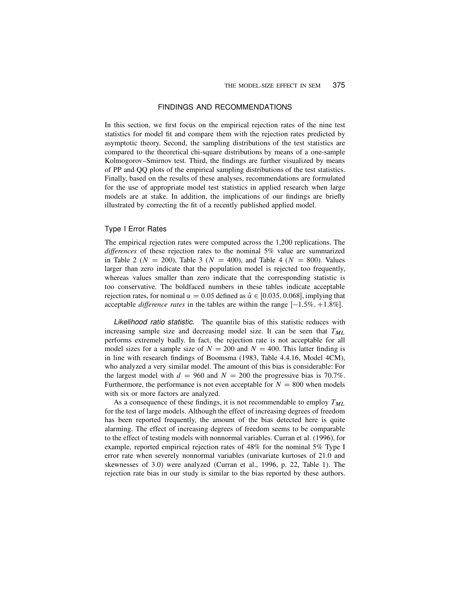# FINDINGS AND RECOMMENDATIONS

In this section, we first focus on the empirical rejection rates of the nine test statistics for model fit and compare them with the rejection rates predicted by asymptotic theory. Second, the sampling distributions of the test statistics are compared to the theoretical chi-square distributions by means of a one-sample Kolmogorov–Smirnov test. Third, the findings are further visualized by means of PP and QQ plots of the empirical sampling distributions of the test statistics. Finally, based on the results of these analyses, recommendations are formulated for the use of appropriate model test statistics in applied research when large models are at stake. In addition, the implications of our findings are briefly illustrated by correcting the fit of a recently published applied model.

# Type I Error Rates

The empirical rejection rates were computed across the 1,200 replications. The differences of these rejection rates to the nominal 5% value are summarized in Table 2 ( $N = 200$ ), Table 3 ( $N = 400$ ), and Table 4 ( $N = 800$ ). Values larger than zero indicate that the population model is rejected too frequently, whereas values smaller than zero indicate that the corresponding statistic is too conservative. The boldfaced numbers in these tables indicate acceptable rejection rates, for nominal  $\alpha = 0.05$  defined as  $\hat{\alpha} \in [0.035, 0.068]$ , implying that acceptable *difference rates* in the tables are within the range  $[-1.5\%, +1.8\%]$ .

Likelihood ratio statistic. The quantile bias of this statistic reduces with increasing sample size and decreasing model size. It can be seen that  $T_{ML}$ performs extremely badly. In fact, the rejection rate is not acceptable for all model sizes for a sample size of  $N = 200$  and  $N = 400$ . This latter finding is in line with research findings of Boomsma (1983, Table 4.4.16, Model 4CM), who analyzed a very similar model. The amount of this bias is considerable: For the largest model with  $d = 960$  and  $N = 200$  the progressive bias is 70.7%. Furthermore, the performance is not even acceptable for  $N = 800$  when models with six or more factors are analyzed.

As a consequence of these findings, it is not recommendable to employ  $T_{ML}$ for the test of large models. Although the effect of increasing degrees of freedom has been reported frequently, the amount of the bias detected here is quite alarming. The effect of increasing degrees of freedom seems to be comparable to the effect of testing models with nonnormal variables. Curran et al. (1996), for example, reported empirical rejection rates of 48% for the nominal 5% Type I error rate when severely nonnormal variables (univariate kurtoses of 21.0 and skewnesses of 3.0) were analyzed (Curran et al., 1996, p. 22, Table 1). The rejection rate bias in our study is similar to the bias reported by these authors.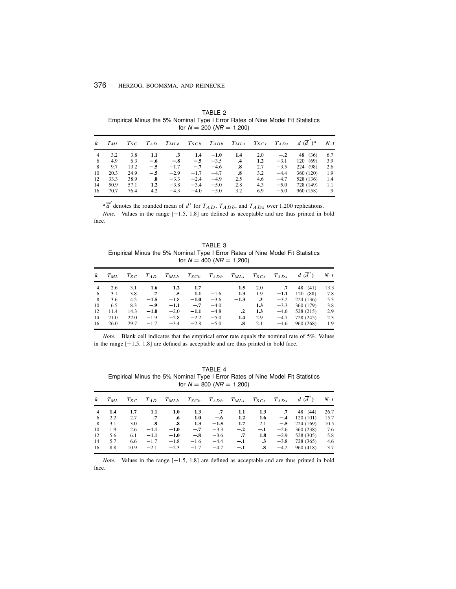| $\boldsymbol{k}$ | $T_{ML}$ | $T_{SC}$ |       | $T_{AD}$ $T_{MLb}$ |        | $T_{SCb}$ $T_{ADb}$ $T_{MLs}$ |     | $T_{SCs}$        | $T_{ADS}$ | $d(d')^a$ | N: t |
|------------------|----------|----------|-------|--------------------|--------|-------------------------------|-----|------------------|-----------|-----------|------|
| 4                | 3.2      | 3.8      | 1.1   | $\cdot$ 3          | 1.4    | $-1.0$                        | 1.4 | 2.0              | $-.2$     | 48 (36)   | 6.7  |
| -6               | 4.9      | 6.3      | $-.6$ | $-.8$              | $-.5$  | $-3.5$                        | .4  | $1.2\phantom{0}$ | $-3.1$    | 120(69)   | 3.9  |
| -8               | 9.7      | 13.2     | $-.5$ | $-1.7$             | $-.7$  | $-4.6$                        | .8  | 2.7              | $-3.5$    | 224 (98)  | 2.6  |
| 10               | 20.3     | 24.9     | $-.5$ | $-2.9$             | $-1.7$ | $-4.7$                        | .8  | 3.2              | $-4.4$    | 360 (120) | 1.9  |
| 12               | 33.3     | 38.9     | .8    | $-3.3$             | $-2.4$ | $-4.9$                        | 2.5 | 4.6              | $-4.7$    | 528 (136) | 1.4  |
| 14               | 50.9     | 57.1     | 1.2   | $-3.8$             | $-3.4$ | $-5.0$                        | 2.8 | 4.3              | $-5.0$    | 728 (149) | 1.1  |
| 16               | 70.7     | 76.4     | 4.2   | $-4.3$             | $-4.0$ | $-5.0$                        | 3.2 | 6.9              | $-5.0$    | 960 (158) | .9   |

TABLE 2 Empirical Minus the 5% Nominal Type I Error Rates of Nine Model Fit Statistics for  $N = 200$  ( $NR = 1,200$ )

<sup>a</sup>  $\overline{d}'$  denotes the rounded mean of d' for  $T_{AD}$ ,  $T_{ADb}$ , and  $T_{ADs}$  over 1,200 replications.

*Note.* Values in the range  $[-1.5, 1.8]$  are defined as acceptable and are thus printed in bold face.

TABLE 3 Empirical Minus the 5% Nominal Type I Error Rates of Nine Model Fit Statistics for  $N = 400$  ( $NR = 1,200$ )

| $\boldsymbol{k}$ | $T_{ML}$ | $T_{SC}$ |            |                |        |        | $T_{AD}$ $T_{MLb}$ $T_{SCb}$ $T_{ADb}$ $T_{MLs}$ $T_{SCs}$ $T_{ADs}$ |           |                 | $d(\overline{d}')$ | N: t |
|------------------|----------|----------|------------|----------------|--------|--------|----------------------------------------------------------------------|-----------|-----------------|--------------------|------|
| 4                | 2.6      | 3.1      | 1.6        | 1.2            |        | 1.7    | 1.5                                                                  | 2.0       | $\overline{.7}$ | 48 (41)            | 13.3 |
| - 6              | 3.1      | 3.8      | $\cdot$ .7 | $\overline{5}$ | 1.1    | $-1.6$ | 1.3                                                                  | 1.9       | $-1.1$          | 120 (88)           | 7.8  |
| 8                | 3.6      | 4.5      | $-1.5$     | $-1.8$         | $-1.0$ | $-3.6$ | $-1.3$                                                               | $\cdot$ 3 | $-3.2$          | 224 (136)          | 5.3  |
| 10               | 6.5      | 8.3      | $-.9$      | $-1.1$         | $-.7$  | $-4.0$ |                                                                      | 1.3       |                 | $-3.3$ 360 (179)   | 3.8  |
| 12               | 11.4     | 14.3     | $-1.0$     | $-2.0$         | $-1.1$ | $-4.8$ | $\cdot$                                                              | 1.3       | $-4.6$          | 528 (215)          | 2.9  |
| 14               | 21.0     | 22.0     | $-1.9$     | $-2.8$         | $-2.2$ | $-5.0$ | 1.4                                                                  | 2.9       | $-4.7$          | 728 (245)          | 2.3  |
| 16               | 26.0     | 29.7     | $-1.7$     | $-3.4$         | $-2.8$ | $-5.0$ | .8                                                                   | 2.1       | $-4.6$          | 960 (268)          | 1.9  |

Note. Blank cell indicates that the empirical error rate equals the nominal rate of 5%. Values in the range  $[-1.5, 1.8]$  are defined as acceptable and are thus printed in bold face.

TABLE 4 Empirical Minus the 5% Nominal Type I Error Rates of Nine Model Fit Statistics for  $N = 800$  ( $NR = 1,200$ )

| k  | $T_{ML}$ | $T_{SC}$ |           | $T_{AD}$ $T_{MLb}$ $T_{SCb}$ $T_{ADb}$ $T_{MLs}$ |        |        |                  | $T_{SCs}$ | $T_{ADS}$ | $d(\overline{d}')$ | N: t |
|----|----------|----------|-----------|--------------------------------------------------|--------|--------|------------------|-----------|-----------|--------------------|------|
| 4  | 1.4      | 1.7      | 1.1       | 1.0                                              | 1.3    | .7     | 1.1              | 1.3       | .7        | 48 (44)            | 26.7 |
| 6  | 2.2      | 2.7      | $\cdot$ 7 | .6                                               | 1.0    | $-.6$  | $1.2\phantom{0}$ | 1.6       | $-.4$     | 120(101)           | 15.7 |
| 8  | 3.1      | 3.0      | .8        | .8                                               | 1.3    | $-1.5$ | 1.7              | 2.1       | $-.5$     | 224 (169)          | 10.5 |
| 10 | 1.9      | 2.6      | $-1.1$    | $-1.0$                                           | $-.7$  | $-3.3$ | $-.2$            | $-.1$     | $-2.6$    | 360 (238)          | 7.6  |
| 12 | 5.6      | 6.1      | $-1.1$    | $-1.0$                                           | $-.8$  | $-3.6$ | .7               | 1.8       | $-2.9$    | 528 (305)          | 5.8  |
| 14 | 5.7      | 6.6      | $-1.7$    | $-1.8$                                           | $-1.6$ | $-4.4$ | $-.1$            | $\cdot$ 3 | $-3.8$    | 728 (365)          | 4.6  |
| 16 | 8.8      | 10.9     | $-2.1$    | $-2.3$                                           | $-1.7$ | $-4.7$ | $-.1$            | .8        | $-4.2$    | 960 (418)          | 3.7  |

*Note.* Values in the range  $[-1.5, 1.8]$  are defined as acceptable and are thus printed in bold face.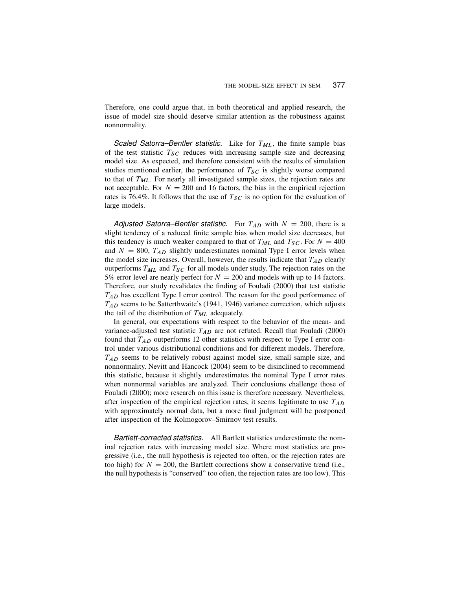Therefore, one could argue that, in both theoretical and applied research, the issue of model size should deserve similar attention as the robustness against nonnormality.

Scaled Satorra–Bentler statistic. Like for  $T_{ML}$ , the finite sample bias of the test statistic  $T_{SC}$  reduces with increasing sample size and decreasing model size. As expected, and therefore consistent with the results of simulation studies mentioned earlier, the performance of  $T_{SC}$  is slightly worse compared to that of  $T_{ML}$ . For nearly all investigated sample sizes, the rejection rates are not acceptable. For  $N = 200$  and 16 factors, the bias in the empirical rejection rates is 76.4%. It follows that the use of  $T_{SC}$  is no option for the evaluation of large models.

Adjusted Satorra–Bentler statistic. For  $T_{AD}$  with  $N = 200$ , there is a slight tendency of a reduced finite sample bias when model size decreases, but this tendency is much weaker compared to that of  $T_{ML}$  and  $T_{SC}$ . For  $N = 400$ and  $N = 800$ ,  $T_{AD}$  slightly underestimates nominal Type I error levels when the model size increases. Overall, however, the results indicate that  $T_{AD}$  clearly outperforms  $T_{ML}$  and  $T_{SC}$  for all models under study. The rejection rates on the 5% error level are nearly perfect for  $N = 200$  and models with up to 14 factors. Therefore, our study revalidates the finding of Fouladi (2000) that test statistic  $T_{AD}$  has excellent Type I error control. The reason for the good performance of  $T_{AD}$  seems to be Satterthwaite's (1941, 1946) variance correction, which adjusts the tail of the distribution of  $T_{ML}$  adequately.

In general, our expectations with respect to the behavior of the mean- and variance-adjusted test statistic  $T_{AD}$  are not refuted. Recall that Fouladi (2000) found that  $T_{AD}$  outperforms 12 other statistics with respect to Type I error control under various distributional conditions and for different models. Therefore,  $T_{AD}$  seems to be relatively robust against model size, small sample size, and nonnormality. Nevitt and Hancock (2004) seem to be disinclined to recommend this statistic, because it slightly underestimates the nominal Type I error rates when nonnormal variables are analyzed. Their conclusions challenge those of Fouladi (2000); more research on this issue is therefore necessary. Nevertheless, after inspection of the empirical rejection rates, it seems legitimate to use  $T_{AD}$ with approximately normal data, but a more final judgment will be postponed after inspection of the Kolmogorov–Smirnov test results.

Bartlett-corrected statistics. All Bartlett statistics underestimate the nominal rejection rates with increasing model size. Where most statistics are progressive (i.e., the null hypothesis is rejected too often, or the rejection rates are too high) for  $N = 200$ , the Bartlett corrections show a conservative trend (i.e., the null hypothesis is "conserved" too often, the rejection rates are too low). This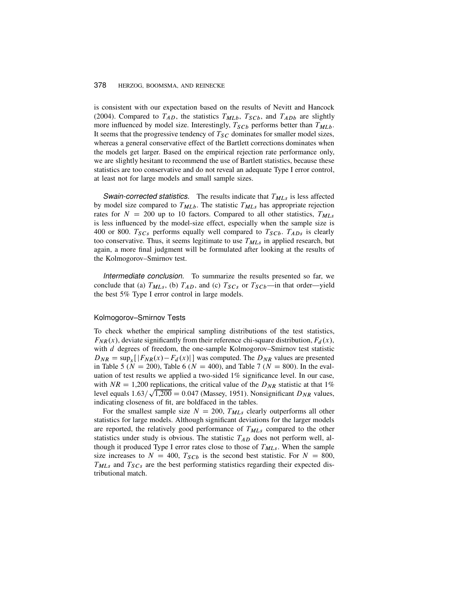is consistent with our expectation based on the results of Nevitt and Hancock (2004). Compared to  $T_{AD}$ , the statistics  $T_{MLb}$ ,  $T_{SCb}$ , and  $T_{ADb}$  are slightly more influenced by model size. Interestingly,  $T_{SCb}$  performs better than  $T_{MLb}$ . It seems that the progressive tendency of  $T_{SC}$  dominates for smaller model sizes, whereas a general conservative effect of the Bartlett corrections dominates when the models get larger. Based on the empirical rejection rate performance only, we are slightly hesitant to recommend the use of Bartlett statistics, because these statistics are too conservative and do not reveal an adequate Type I error control, at least not for large models and small sample sizes.

Swain-corrected statistics. The results indicate that  $T_{MLs}$  is less affected by model size compared to  $T_{MLb}$ . The statistic  $T_{MLs}$  has appropriate rejection rates for  $N = 200$  up to 10 factors. Compared to all other statistics,  $T_{MLs}$ is less influenced by the model-size effect, especially when the sample size is 400 or 800.  $T_{SCs}$  performs equally well compared to  $T_{SCb}$ .  $T_{ADs}$  is clearly too conservative. Thus, it seems legitimate to use  $T_{MLs}$  in applied research, but again, a more final judgment will be formulated after looking at the results of the Kolmogorov–Smirnov test.

Intermediate conclusion. To summarize the results presented so far, we conclude that (a)  $T_{MLs}$ , (b)  $T_{AD}$ , and (c)  $T_{SCs}$  or  $T_{SCb}$ —in that order—yield the best 5% Type I error control in large models.

#### Kolmogorov–Smirnov Tests

To check whether the empirical sampling distributions of the test statistics,  $F_{NR}(x)$ , deviate significantly from their reference chi-square distribution,  $F_d(x)$ , with d degrees of freedom, the one-sample Kolmogorov–Smirnov test statistic  $D_{NR} = \sup_x [ |F_{NR}(x) - F_d(x)| ]$  was computed. The  $D_{NR}$  values are presented in Table 5 ( $N = 200$ ), Table 6 ( $N = 400$ ), and Table 7 ( $N = 800$ ). In the evaluation of test results we applied a two-sided 1% significance level. In our case, with  $NR = 1,200$  replications, the critical value of the  $D_{NR}$  statistic at that 1% level equals  $1.63/\sqrt{1,200} = 0.047$  (Massey, 1951). Nonsignificant  $D_{NR}$  values, indicating closeness of fit, are boldfaced in the tables.

For the smallest sample size  $N = 200$ ,  $T_{MLs}$  clearly outperforms all other statistics for large models. Although significant deviations for the larger models are reported, the relatively good performance of  $T_{MLs}$  compared to the other statistics under study is obvious. The statistic  $T_{AD}$  does not perform well, although it produced Type I error rates close to those of  $T_{MLs}$ . When the sample size increases to  $N = 400$ ,  $T_{SCb}$  is the second best statistic. For  $N = 800$ ,  $T_{MLs}$  and  $T_{SCs}$  are the best performing statistics regarding their expected distributional match.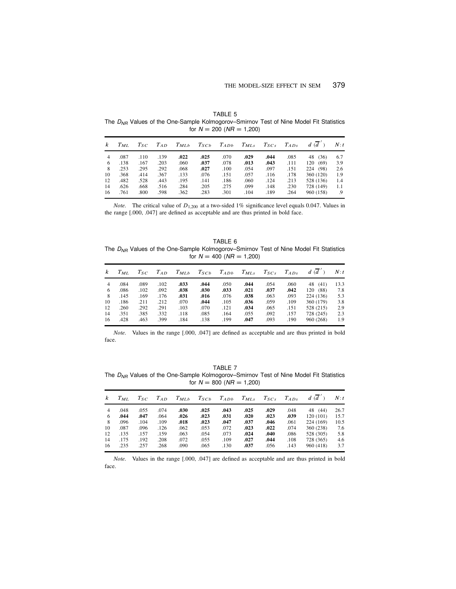| k              | $T_{ML}$ | $T_{SC}$ | $T_{AD}$ | $T_{MLb}$ | $T_{SCb}$ | $T_{ADD}$ | $T_{MLS}$ | $T_{SCS}$ | $T_{ADS}$ | d(d)        | N: t |
|----------------|----------|----------|----------|-----------|-----------|-----------|-----------|-----------|-----------|-------------|------|
| $\overline{4}$ | .087     | .110     | .139     | .022      | .025      | .070      | .029      | .044      | .085      | (36)<br>48  | 6.7  |
| 6              | .138     | .167     | .203     | .060      | .037      | .078      | .013      | .043      | .111      | 120<br>(69) | 3.9  |
| 8              | .253     | .295     | .292     | .068      | .027      | .100      | .054      | .097      | .151      | 224 (98)    | 2.6  |
| 10             | .368     | .414     | .367     | .133      | .076      | .151      | .057      | .116      | .178      | 360 (120)   | 1.9  |
| 12             | .482     | .528     | .443     | .195      | .141      | .186      | .060      | .124      | .213      | 528 (136)   | 1.4  |
| 14             | .626     | .668     | .516     | .284      | .205      | .275      | .099      | .148      | .230      | 728 (149)   | 1.1  |
| 16             | .761     | .800     | .598     | .362      | .283      | .301      | .104      | .189      | .264      | 960 (158)   | .9   |

TABLE 5 The  $D_{NR}$  Values of the One-Sample Kolmogorov–Smirnov Test of Nine Model Fit Statistics for  $N = 200$  ( $NR = 1,200$ )

*Note.* The critical value of  $D_{1,200}$  at a two-sided 1% significance level equals 0.047. Values in the range [.000, .047] are defined as acceptable and are thus printed in bold face.

TABLE 6 The  $D_{NR}$  Values of the One-Sample Kolmogorov–Smirnov Test of Nine Model Fit Statistics for  $N = 400$  ( $NR = 1,200$ )

| $\kappa$       | $T_{ML}$ | $T_{SC}$ | $T_{AD}$ | $T_{MLb}$ | $T_{SCb}$ | $T_{ADD}$ | $T_{MLS}$ | $T_{SCS}$ | $T_{ADS}$ | $d(\overline{d})$ | N: t |
|----------------|----------|----------|----------|-----------|-----------|-----------|-----------|-----------|-----------|-------------------|------|
| $\overline{4}$ | .084     | .089     | .102     | .033      | .044      | .050      | .044      | .054      | .060      | (41)<br>48        | 13.3 |
| 6              | .086     | .102     | .092     | .038      | .030      | .033      | .021      | .037      | .042      | (88)<br>120       | 7.8  |
| 8              | .145     | .169     | .176     | .031      | .016      | .076      | .038      | .063      | .093      | 224 (136)         | 5.3  |
| 10             | .186     | .211     | .212     | .070      | .044      | .105      | .036      | .059      | .109      | 360 (179)         | 3.8  |
| 12             | .260     | .292     | .291     | .103      | .070      | .121      | .034      | .065      | .151      | 528 (215)         | 2.9  |
| 14             | .351     | .385     | .332     | .118      | .085      | .164      | .055      | .092      | .157      | 728 (245)         | 2.3  |
| 16             | .428     | .463     | .399     | .184      | .138      | .199      | .047      | .093      | .190      | 960 (268)         | 1.9  |

Note. Values in the range [.000, .047] are defined as acceptable and are thus printed in bold face.

TABLE 7 The  $D_{NR}$  Values of the One-Sample Kolmogorov–Smirnov Test of Nine Model Fit Statistics for  $N = 800$  ( $NR = 1,200$ )

| $\kappa$ | $T_{ML}$ | $T_{SC}$ | $T_{AD}$ | $T_{MLb}$ | $T_{SCb}$ | $T_{ADh}$ | $T_{MLs}$ | $T_{SCS}$ | $T_{ADS}$ | $d(\overline{d})$ | N: t |
|----------|----------|----------|----------|-----------|-----------|-----------|-----------|-----------|-----------|-------------------|------|
| 4        | .048     | .055     | .074     | .030      | .025      | .043      | .025      | .029      | .048      | (44)<br>48        | 26.7 |
| 6        | .044     | .047     | .064     | .026      | .023      | .031      | .020      | .023      | .039      | 120(101)          | 15.7 |
| -8       | .096     | .104     | .109     | .018      | .023      | .047      | .037      | .046      | .061      | 224 (169)         | 10.5 |
| 10       | .087     | .096     | .126     | .062      | .053      | .072      | .023      | .022      | .074      | 360 (238)         | 7.6  |
| 12       | .135     | .157     | .159     | .063      | .054      | .073      | .024      | .040      | .086      | 528 (305)         | 5.8  |
| 14       | .175     | .192     | .208     | .072      | .055      | .109      | .027      | .044      | .108      | 728 (365)         | 4.6  |
| 16       | .235     | .257     | .268     | .090      | .065      | .130      | .037      | .056      | .143      | 960 (418)         | 3.7  |

Note. Values in the range [.000, .047] are defined as acceptable and are thus printed in bold face.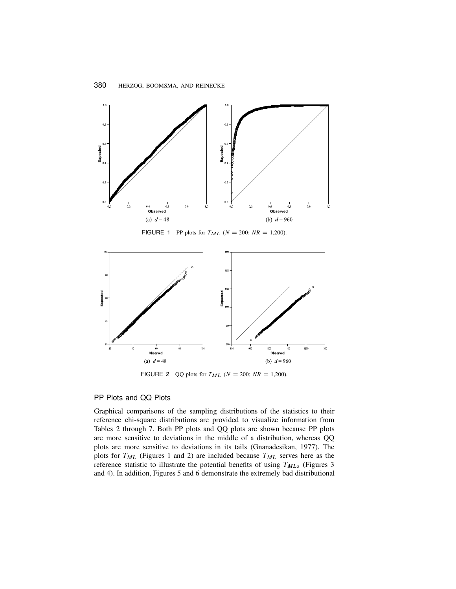

**FIGURE 1** PP plots for  $T_{ML}$  ( $N = 200$ ;  $NR = 1,200$ ).



**FIGURE 2** QQ plots for  $T_{ML}$  ( $N = 200$ ;  $NR = 1,200$ ).

# PP Plots and QQ Plots

Graphical comparisons of the sampling distributions of the statistics to their reference chi-square distributions are provided to visualize information from Tables 2 through 7. Both PP plots and QQ plots are shown because PP plots are more sensitive to deviations in the middle of a distribution, whereas QQ plots are more sensitive to deviations in its tails (Gnanadesikan, 1977). The plots for  $T_{ML}$  (Figures 1 and 2) are included because  $T_{ML}$  serves here as the reference statistic to illustrate the potential benefits of using  $T_{MLs}$  (Figures 3 and 4). In addition, Figures 5 and 6 demonstrate the extremely bad distributional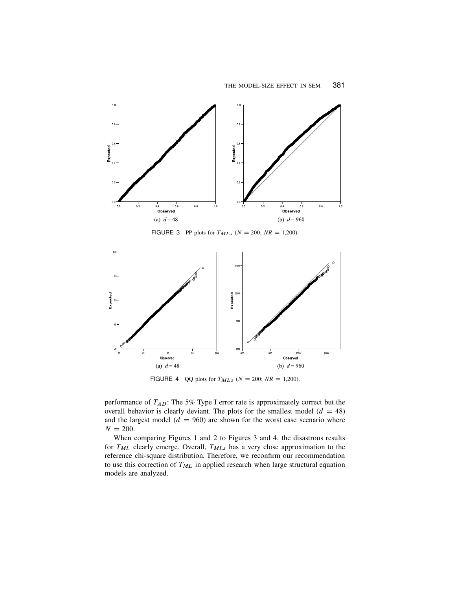

**FIGURE 3** PP plots for  $T_{MLs}$  ( $N = 200$ ;  $NR = 1,200$ ).



**FIGURE 4** QQ plots for  $T_{MLs}$  ( $N = 200$ ;  $NR = 1,200$ ).

performance of  $T_{AD}$ : The 5% Type I error rate is approximately correct but the overall behavior is clearly deviant. The plots for the smallest model  $(d = 48)$ and the largest model  $(d = 960)$  are shown for the worst case scenario where  $N = 200.$ 

When comparing Figures 1 and 2 to Figures 3 and 4, the disastrous results for  $T_{ML}$  clearly emerge. Overall,  $T_{MLs}$  has a very close approximation to the reference chi-square distribution. Therefore, we reconfirm our recommendation to use this correction of  $T_{ML}$  in applied research when large structural equation models are analyzed.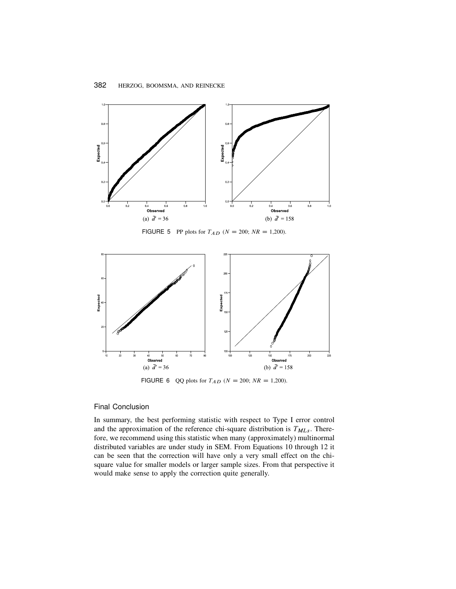

FIGURE 5 PP plots for  $T_{AD}$  ( $N = 200$ ;  $NR = 1,200$ ).



**FIGURE 6** QQ plots for  $T_{AD}$  ( $N = 200$ ;  $NR = 1,200$ ).

# Final Conclusion

In summary, the best performing statistic with respect to Type I error control and the approximation of the reference chi-square distribution is  $T_{MLs}$ . Therefore, we recommend using this statistic when many (approximately) multinormal distributed variables are under study in SEM. From Equations 10 through 12 it can be seen that the correction will have only a very small effect on the chisquare value for smaller models or larger sample sizes. From that perspective it would make sense to apply the correction quite generally.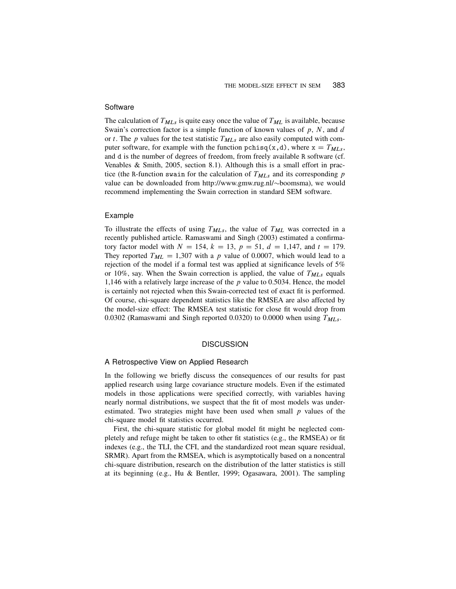#### **Software**

The calculation of  $T_{MLs}$  is quite easy once the value of  $T_{ML}$  is available, because Swain's correction factor is a simple function of known values of  $p$ ,  $N$ , and  $d$ or t. The p values for the test statistic  $T_{MLs}$  are also easily computed with computer software, for example with the function pchisq(x,d), where  $x = T_{MLs}$ , and d is the number of degrees of freedom, from freely available R software (cf. Venables & Smith, 2005, section 8.1). Although this is a small effort in practice (the R-function swain for the calculation of  $T_{MLs}$  and its corresponding p value can be downloaded from http://www.gmw.rug.nl/~boomsma), we would recommend implementing the Swain correction in standard SEM software.

#### Example

To illustrate the effects of using  $T_{MLs}$ , the value of  $T_{ML}$  was corrected in a recently published article. Ramaswami and Singh (2003) estimated a confirmatory factor model with  $N = 154$ ,  $k = 13$ ,  $p = 51$ ,  $d = 1,147$ , and  $t = 179$ . They reported  $T_{ML} = 1,307$  with a p value of 0.0007, which would lead to a rejection of the model if a formal test was applied at significance levels of 5% or 10%, say. When the Swain correction is applied, the value of  $T_{MLs}$  equals 1,146 with a relatively large increase of the  $p$  value to 0.5034. Hence, the model is certainly not rejected when this Swain-corrected test of exact fit is performed. Of course, chi-square dependent statistics like the RMSEA are also affected by the model-size effect: The RMSEA test statistic for close fit would drop from 0.0302 (Ramaswami and Singh reported 0.0320) to 0.0000 when using  $T_{MLs}$ .

#### **DISCUSSION**

#### A Retrospective View on Applied Research

In the following we briefly discuss the consequences of our results for past applied research using large covariance structure models. Even if the estimated models in those applications were specified correctly, with variables having nearly normal distributions, we suspect that the fit of most models was underestimated. Two strategies might have been used when small  $p$  values of the chi-square model fit statistics occurred.

First, the chi-square statistic for global model fit might be neglected completely and refuge might be taken to other fit statistics (e.g., the RMSEA) or fit indexes (e.g., the TLI, the CFI, and the standardized root mean square residual, SRMR). Apart from the RMSEA, which is asymptotically based on a noncentral chi-square distribution, research on the distribution of the latter statistics is still at its beginning (e.g., Hu & Bentler, 1999; Ogasawara, 2001). The sampling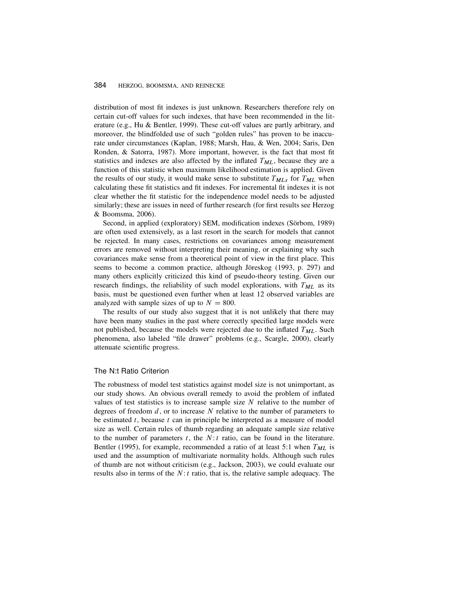# 384 HERZOG, BOOMSMA, AND REINECKE

distribution of most fit indexes is just unknown. Researchers therefore rely on certain cut-off values for such indexes, that have been recommended in the literature (e.g., Hu & Bentler, 1999). These cut-off values are partly arbitrary, and moreover, the blindfolded use of such "golden rules" has proven to be inaccurate under circumstances (Kaplan, 1988; Marsh, Hau, & Wen, 2004; Saris, Den Ronden, & Satorra, 1987). More important, however, is the fact that most fit statistics and indexes are also affected by the inflated  $T_{ML}$ , because they are a function of this statistic when maximum likelihood estimation is applied. Given the results of our study, it would make sense to substitute  $T_{MLs}$  for  $T_{ML}$  when calculating these fit statistics and fit indexes. For incremental fit indexes it is not clear whether the fit statistic for the independence model needs to be adjusted similarly; these are issues in need of further research (for first results see Herzog & Boomsma, 2006).

Second, in applied (exploratory) SEM, modification indexes (Sörbom, 1989) are often used extensively, as a last resort in the search for models that cannot be rejected. In many cases, restrictions on covariances among measurement errors are removed without interpreting their meaning, or explaining why such covariances make sense from a theoretical point of view in the first place. This seems to become a common practice, although Jöreskog (1993, p. 297) and many others explicitly criticized this kind of pseudo-theory testing. Given our research findings, the reliability of such model explorations, with  $T_{ML}$  as its basis, must be questioned even further when at least 12 observed variables are analyzed with sample sizes of up to  $N = 800$ .

The results of our study also suggest that it is not unlikely that there may have been many studies in the past where correctly specified large models were not published, because the models were rejected due to the inflated  $T_{ML}$ . Such phenomena, also labeled "file drawer" problems (e.g., Scargle, 2000), clearly attenuate scientific progress.

#### The N:t Ratio Criterion

The robustness of model test statistics against model size is not unimportant, as our study shows. An obvious overall remedy to avoid the problem of inflated values of test statistics is to increase sample size  $N$  relative to the number of degrees of freedom  $d$ , or to increase  $N$  relative to the number of parameters to be estimated  $t$ , because  $t$  can in principle be interpreted as a measure of model size as well. Certain rules of thumb regarding an adequate sample size relative to the number of parameters  $t$ , the  $N$ :  $t$  ratio, can be found in the literature. Bentler (1995), for example, recommended a ratio of at least 5:1 when  $T_{ML}$  is used and the assumption of multivariate normality holds. Although such rules of thumb are not without criticism (e.g., Jackson, 2003), we could evaluate our results also in terms of the  $N: t$  ratio, that is, the relative sample adequacy. The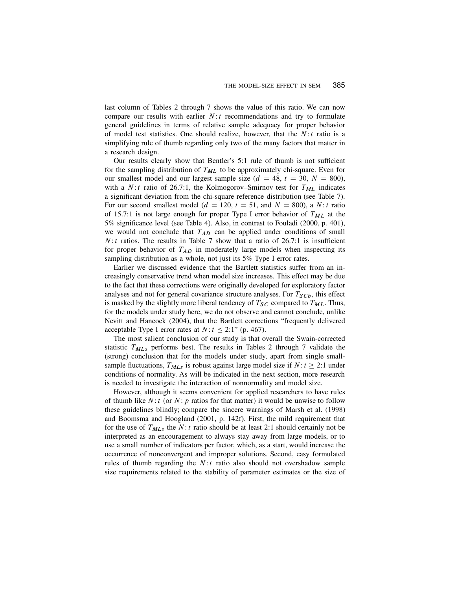last column of Tables 2 through 7 shows the value of this ratio. We can now compare our results with earlier  $N: t$  recommendations and try to formulate general guidelines in terms of relative sample adequacy for proper behavior of model test statistics. One should realize, however, that the  $N:t$  ratio is a simplifying rule of thumb regarding only two of the many factors that matter in a research design.

Our results clearly show that Bentler's 5:1 rule of thumb is not sufficient for the sampling distribution of  $T_{ML}$  to be approximately chi-square. Even for our smallest model and our largest sample size  $(d = 48, t = 30, N = 800)$ , with a  $N: t$  ratio of 26.7:1, the Kolmogorov–Smirnov test for  $T_{ML}$  indicates a significant deviation from the chi-square reference distribution (see Table 7). For our second smallest model ( $d = 120$ ,  $t = 51$ , and  $N = 800$ ), a N: t ratio of 15.7:1 is not large enough for proper Type I error behavior of  $T_{ML}$  at the 5% significance level (see Table 4). Also, in contrast to Fouladi (2000, p. 401), we would not conclude that  $T_{AD}$  can be applied under conditions of small  $N: t$  ratios. The results in Table 7 show that a ratio of 26.7:1 is insufficient for proper behavior of  $T_{AD}$  in moderately large models when inspecting its sampling distribution as a whole, not just its 5% Type I error rates.

Earlier we discussed evidence that the Bartlett statistics suffer from an increasingly conservative trend when model size increases. This effect may be due to the fact that these corrections were originally developed for exploratory factor analyses and not for general covariance structure analyses. For  $T_{SCb}$ , this effect is masked by the slightly more liberal tendency of  $T_{SC}$  compared to  $T_{ML}$ . Thus, for the models under study here, we do not observe and cannot conclude, unlike Nevitt and Hancock (2004), that the Bartlett corrections "frequently delivered acceptable Type I error rates at  $N: t \le 2:1"$  (p. 467).

The most salient conclusion of our study is that overall the Swain-corrected statistic  $T_{MLs}$  performs best. The results in Tables 2 through 7 validate the (strong) conclusion that for the models under study, apart from single smallsample fluctuations,  $T_{MLs}$  is robust against large model size if  $N: t \geq 2:1$  under conditions of normality. As will be indicated in the next section, more research is needed to investigate the interaction of nonnormality and model size.

However, although it seems convenient for applied researchers to have rules of thumb like  $N: t$  (or  $N: p$  ratios for that matter) it would be unwise to follow these guidelines blindly; compare the sincere warnings of Marsh et al. (1998) and Boomsma and Hoogland (2001, p. 142f). First, the mild requirement that for the use of  $T_{MLs}$  the N: t ratio should be at least 2:1 should certainly not be interpreted as an encouragement to always stay away from large models, or to use a small number of indicators per factor, which, as a start, would increase the occurrence of nonconvergent and improper solutions. Second, easy formulated rules of thumb regarding the  $N: t$  ratio also should not overshadow sample size requirements related to the stability of parameter estimates or the size of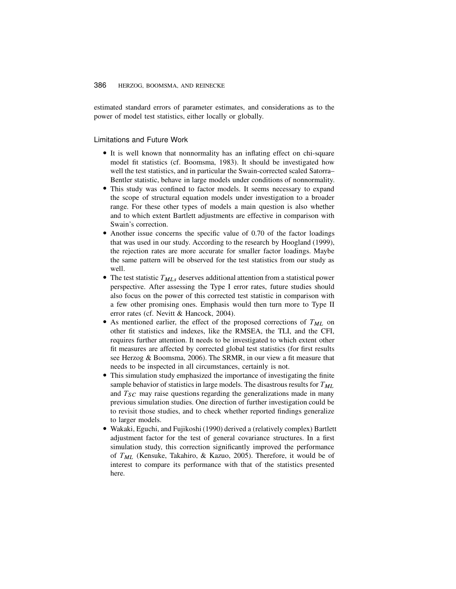estimated standard errors of parameter estimates, and considerations as to the power of model test statistics, either locally or globally.

Limitations and Future Work

- It is well known that nonnormality has an inflating effect on chi-square model fit statistics (cf. Boomsma, 1983). It should be investigated how well the test statistics, and in particular the Swain-corrected scaled Satorra– Bentler statistic, behave in large models under conditions of nonnormality.
- This study was confined to factor models. It seems necessary to expand the scope of structural equation models under investigation to a broader range. For these other types of models a main question is also whether and to which extent Bartlett adjustments are effective in comparison with Swain's correction.
- Another issue concerns the specific value of 0.70 of the factor loadings that was used in our study. According to the research by Hoogland (1999), the rejection rates are more accurate for smaller factor loadings. Maybe the same pattern will be observed for the test statistics from our study as well.
- $\bullet$  The test statistic  $T_{MLs}$  deserves additional attention from a statistical power perspective. After assessing the Type I error rates, future studies should also focus on the power of this corrected test statistic in comparison with a few other promising ones. Emphasis would then turn more to Type II error rates (cf. Nevitt & Hancock, 2004).
- As mentioned earlier, the effect of the proposed corrections of  $T_{ML}$  on other fit statistics and indexes, like the RMSEA, the TLI, and the CFI, requires further attention. It needs to be investigated to which extent other fit measures are affected by corrected global test statistics (for first results see Herzog & Boomsma, 2006). The SRMR, in our view a fit measure that needs to be inspected in all circumstances, certainly is not.
- This simulation study emphasized the importance of investigating the finite sample behavior of statistics in large models. The disastrous results for  $T_{ML}$ and  $T_{SC}$  may raise questions regarding the generalizations made in many previous simulation studies. One direction of further investigation could be to revisit those studies, and to check whether reported findings generalize to larger models.
- Wakaki, Eguchi, and Fujikoshi (1990) derived a (relatively complex) Bartlett adjustment factor for the test of general covariance structures. In a first simulation study, this correction significantly improved the performance of  $T_{ML}$  (Kensuke, Takahiro, & Kazuo, 2005). Therefore, it would be of interest to compare its performance with that of the statistics presented here.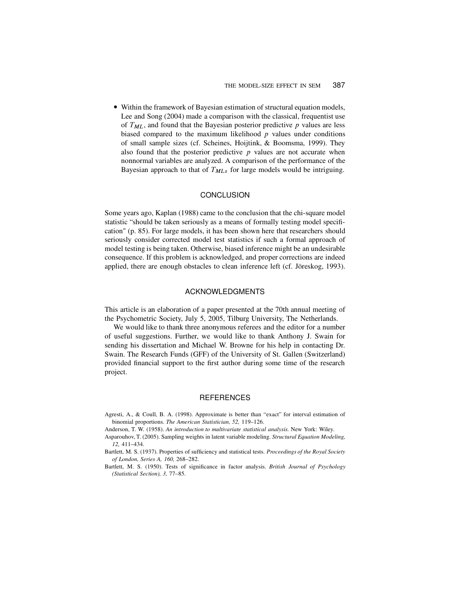Within the framework of Bayesian estimation of structural equation models, Lee and Song (2004) made a comparison with the classical, frequentist use of  $T_{ML}$ , and found that the Bayesian posterior predictive p values are less biased compared to the maximum likelihood  $p$  values under conditions of small sample sizes (cf. Scheines, Hoijtink, & Boomsma, 1999). They also found that the posterior predictive  $p$  values are not accurate when nonnormal variables are analyzed. A comparison of the performance of the Bayesian approach to that of  $T_{MLs}$  for large models would be intriguing.

# **CONCLUSION**

Some years ago, Kaplan (1988) came to the conclusion that the chi-square model statistic "should be taken seriously as a means of formally testing model specification" (p. 85). For large models, it has been shown here that researchers should seriously consider corrected model test statistics if such a formal approach of model testing is being taken. Otherwise, biased inference might be an undesirable consequence. If this problem is acknowledged, and proper corrections are indeed applied, there are enough obstacles to clean inference left (cf. Jöreskog, 1993).

### ACKNOWLEDGMENTS

This article is an elaboration of a paper presented at the 70th annual meeting of the Psychometric Society, July 5, 2005, Tilburg University, The Netherlands.

We would like to thank three anonymous referees and the editor for a number of useful suggestions. Further, we would like to thank Anthony J. Swain for sending his dissertation and Michael W. Browne for his help in contacting Dr. Swain. The Research Funds (GFF) of the University of St. Gallen (Switzerland) provided financial support to the first author during some time of the research project.

# **REFERENCES**

- Agresti, A., & Coull, B. A. (1998). Approximate is better than "exact" for interval estimation of binomial proportions. The American Statistician, 52, 119–126.
- Anderson, T. W. (1958). An introduction to multivariate statistical analysis. New York: Wiley.
- Asparouhov, T. (2005). Sampling weights in latent variable modeling. Structural Equation Modeling, 12, 411–434.
- Bartlett, M. S. (1937). Properties of sufficiency and statistical tests. Proceedings of the Royal Society of London, Series A, 160, 268–282.
- Bartlett, M. S. (1950). Tests of significance in factor analysis. British Journal of Psychology (Statistical Section), 3, 77–85.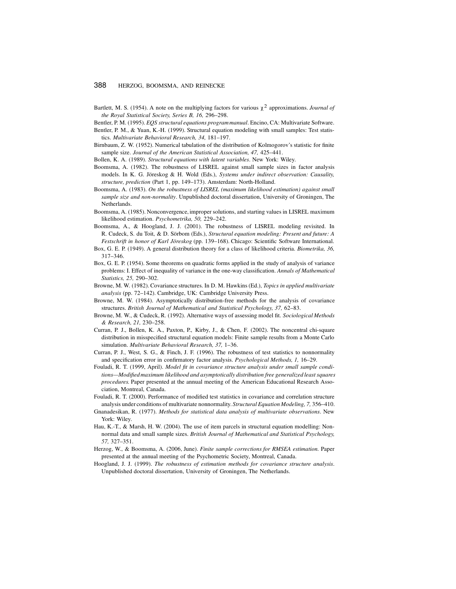- Bartlett, M. S. (1954). A note on the multiplying factors for various  $\chi^2$  approximations. *Journal of* the Royal Statistical Society, Series B, 16, 296–298.
- Bentler, P. M. (1995). EQS structural equations program manual. Encino, CA: Multivariate Software.
- Bentler, P. M., & Yuan, K.-H. (1999). Structural equation modeling with small samples: Test statistics. Multivariate Behavioral Research, 34, 181–197.
- Birnbaum, Z. W. (1952). Numerical tabulation of the distribution of Kolmogorov's statistic for finite sample size. Journal of the American Statistical Association, 47, 425–441.
- Bollen, K. A. (1989). Structural equations with latent variables. New York: Wiley.
- Boomsma, A. (1982). The robustness of LISREL against small sample sizes in factor analysis models. In K. G. Jöreskog & H. Wold (Eds.), Systems under indirect observation: Causality, structure, prediction (Part 1, pp. 149–173). Amsterdam: North-Holland.
- Boomsma, A. (1983). On the robustness of LISREL (maximum likelihood estimation) against small sample size and non-normality. Unpublished doctoral dissertation, University of Groningen, The Netherlands.
- Boomsma, A. (1985). Nonconvergence, improper solutions, and starting values in LISREL maximum likelihood estimation. Psychometrika, 50, 229–242.
- Boomsma, A., & Hoogland, J. J. (2001). The robustness of LISREL modeling revisited. In R. Cudeck, S. du Toit, & D. Sörbom (Eds.), Structural equation modeling: Present and future: A Festschrift in honor of Karl Jöreskog (pp. 139–168). Chicago: Scientific Software International.
- Box, G. E. P. (1949). A general distribution theory for a class of likelihood criteria. Biometrika, 36, 317–346.
- Box, G. E. P. (1954). Some theorems on quadratic forms applied in the study of analysis of variance problems: I. Effect of inequality of variance in the one-way classification. Annals of Mathematical Statistics, 25, 290–302.
- Browne, M. W. (1982). Covariance structures. In D. M. Hawkins (Ed.), Topics in applied multivariate analysis (pp. 72–142). Cambridge, UK: Cambridge University Press.
- Browne, M. W. (1984). Asymptotically distribution-free methods for the analysis of covariance structures. British Journal of Mathematical and Statistical Psychology, 37, 62–83.
- Browne, M. W., & Cudeck, R. (1992). Alternative ways of assessing model fit. Sociological Methods & Research, 21, 230–258.
- Curran, P. J., Bollen, K. A., Paxton, P., Kirby, J., & Chen, F. (2002). The noncentral chi-square distribution in misspecified structural equation models: Finite sample results from a Monte Carlo simulation. Multivariate Behavioral Research, 37, 1–36.
- Curran, P. J., West, S. G., & Finch, J. F. (1996). The robustness of test statistics to nonnormality and specification error in confirmatory factor analysis. Psychological Methods, 1, 16–29.
- Fouladi, R. T. (1999, April). Model fit in covariance structure analysis under small sample conditions—Modified maximum likelihood and asymptotically distribution free generalized least squares procedures. Paper presented at the annual meeting of the American Educational Research Association, Montreal, Canada.
- Fouladi, R. T. (2000). Performance of modified test statistics in covariance and correlation structure analysis under conditions of multivariate nonnormality. Structural Equation Modeling, 7, 356-410.
- Gnanadesikan, R. (1977). Methods for statistical data analysis of multivariate observations. New York: Wiley.
- Hau, K.-T., & Marsh, H. W. (2004). The use of item parcels in structural equation modelling: Nonnormal data and small sample sizes. British Journal of Mathematical and Statistical Psychology, 57, 327–351.
- Herzog, W., & Boomsma, A. (2006, June). Finite sample corrections for RMSEA estimation. Paper presented at the annual meeting of the Psychometric Society, Montreal, Canada.
- Hoogland, J. J. (1999). The robustness of estimation methods for covariance structure analysis. Unpublished doctoral dissertation, University of Groningen, The Netherlands.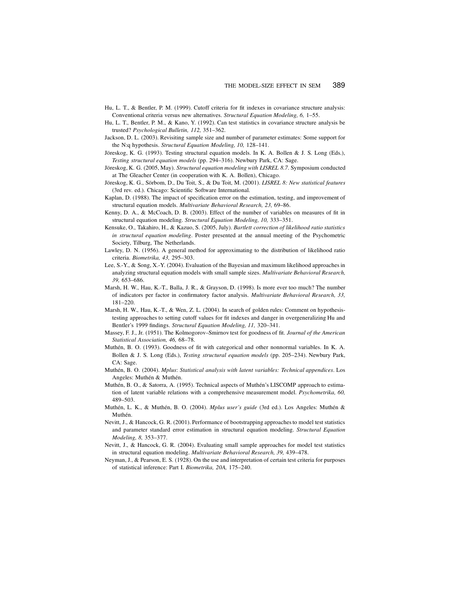- Hu, L. T., & Bentler, P. M. (1999). Cutoff criteria for fit indexes in covariance structure analysis: Conventional criteria versus new alternatives. Structural Equation Modeling, 6, 1–55.
- Hu, L. T., Bentler, P. M., & Kano, Y. (1992). Can test statistics in covariance structure analysis be trusted? Psychological Bulletin, 112, 351–362.
- Jackson, D. L. (2003). Revisiting sample size and number of parameter estimates: Some support for the N:q hypothesis. Structural Equation Modeling, 10, 128–141.
- Jöreskog, K. G. (1993). Testing structural equation models. In K. A. Bollen & J. S. Long (Eds.), Testing structural equation models (pp. 294–316). Newbury Park, CA: Sage.
- Jöreskog, K. G. (2005, May). Structural equation modeling with LISREL 8.7. Symposium conducted at The Gleacher Center (in cooperation with K. A. Bollen), Chicago.
- Jöreskog, K. G., Sörbom, D., Du Toit, S., & Du Toit, M. (2001). LISREL 8: New statistical features (3rd rev. ed.). Chicago: Scientific Software International.
- Kaplan, D. (1988). The impact of specification error on the estimation, testing, and improvement of structural equation models. Multivariate Behavioral Research, 23, 69–86.
- Kenny, D. A., & McCoach, D. B. (2003). Effect of the number of variables on measures of fit in structural equation modeling. Structural Equation Modeling, 10, 333–351.
- Kensuke, O., Takahiro, H., & Kazuo, S. (2005, July). Bartlett correction of likelihood ratio statistics in structural equation modeling. Poster presented at the annual meeting of the Psychometric Society, Tilburg, The Netherlands.
- Lawley, D. N. (1956). A general method for approximating to the distribution of likelihood ratio criteria. Biometrika, 43, 295–303.
- Lee, S.-Y., & Song, X.-Y. (2004). Evaluation of the Bayesian and maximum likelihood approaches in analyzing structural equation models with small sample sizes. Multivariate Behavioral Research, 39, 653–686.
- Marsh, H. W., Hau, K.-T., Balla, J. R., & Grayson, D. (1998). Is more ever too much? The number of indicators per factor in confirmatory factor analysis. Multivariate Behavioral Research, 33, 181–220.
- Marsh, H. W., Hau, K.-T., & Wen, Z. L. (2004). In search of golden rules: Comment on hypothesistesting approaches to setting cutoff values for fit indexes and danger in overgeneralizing Hu and Bentler's 1999 findings. Structural Equation Modeling, 11, 320–341.
- Massey, F. J., Jr. (1951). The Kolmogorov–Smirnov test for goodness of fit. Journal of the American Statistical Association, 46, 68–78.
- Muthén, B. O. (1993). Goodness of fit with categorical and other nonnormal variables. In K. A. Bollen & J. S. Long (Eds.), Testing structural equation models (pp. 205–234). Newbury Park, CA: Sage.
- Muthén, B. O. (2004). Mplus: Statistical analysis with latent variables: Technical appendices. Los Angeles: Muthén & Muthén.
- Muthén, B. O., & Satorra, A. (1995). Technical aspects of Muthén's LISCOMP approach to estimation of latent variable relations with a comprehensive measurement model. Psychometrika, 60, 489–503.
- Muthén, L. K., & Muthén, B. O. (2004). Mplus user's guide (3rd ed.). Los Angeles: Muthén & Muthén.
- Nevitt, J., & Hancock, G. R. (2001). Performance of bootstrapping approaches to model test statistics and parameter standard error estimation in structural equation modeling. Structural Equation Modeling, 8, 353–377.
- Nevitt, J., & Hancock, G. R. (2004). Evaluating small sample approaches for model test statistics in structural equation modeling. Multivariate Behavioral Research, 39, 439–478.
- Neyman, J., & Pearson, E. S. (1928). On the use and interpretation of certain test criteria for purposes of statistical inference: Part I. Biometrika, 20A, 175–240.